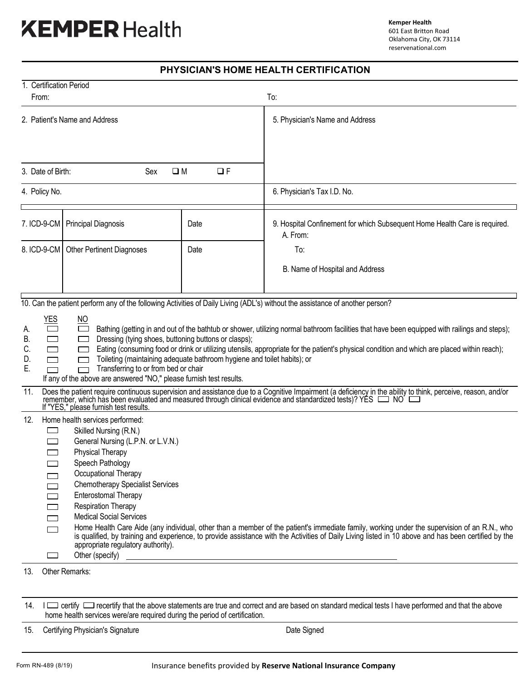# **XEMPER** Health

## **PHYSICIAN'S HOME HEALTH CERTIFICATION**

| 1. Certification Period<br>To:<br>From:                                                                                                                                                                                                                                                                                                                                                                                                                                                                                                                                                                                                                                                                                                                                                                                                                                                                                                                                                                                                                                                                                                                                                                                                                                                                                                                                                                                                                                                                                                                                                                                                                                                                                                                                  |                                  |      |                                                                                        |
|--------------------------------------------------------------------------------------------------------------------------------------------------------------------------------------------------------------------------------------------------------------------------------------------------------------------------------------------------------------------------------------------------------------------------------------------------------------------------------------------------------------------------------------------------------------------------------------------------------------------------------------------------------------------------------------------------------------------------------------------------------------------------------------------------------------------------------------------------------------------------------------------------------------------------------------------------------------------------------------------------------------------------------------------------------------------------------------------------------------------------------------------------------------------------------------------------------------------------------------------------------------------------------------------------------------------------------------------------------------------------------------------------------------------------------------------------------------------------------------------------------------------------------------------------------------------------------------------------------------------------------------------------------------------------------------------------------------------------------------------------------------------------|----------------------------------|------|----------------------------------------------------------------------------------------|
|                                                                                                                                                                                                                                                                                                                                                                                                                                                                                                                                                                                                                                                                                                                                                                                                                                                                                                                                                                                                                                                                                                                                                                                                                                                                                                                                                                                                                                                                                                                                                                                                                                                                                                                                                                          |                                  |      |                                                                                        |
| 2. Patient's Name and Address                                                                                                                                                                                                                                                                                                                                                                                                                                                                                                                                                                                                                                                                                                                                                                                                                                                                                                                                                                                                                                                                                                                                                                                                                                                                                                                                                                                                                                                                                                                                                                                                                                                                                                                                            |                                  |      | 5. Physician's Name and Address                                                        |
|                                                                                                                                                                                                                                                                                                                                                                                                                                                                                                                                                                                                                                                                                                                                                                                                                                                                                                                                                                                                                                                                                                                                                                                                                                                                                                                                                                                                                                                                                                                                                                                                                                                                                                                                                                          |                                  |      |                                                                                        |
|                                                                                                                                                                                                                                                                                                                                                                                                                                                                                                                                                                                                                                                                                                                                                                                                                                                                                                                                                                                                                                                                                                                                                                                                                                                                                                                                                                                                                                                                                                                                                                                                                                                                                                                                                                          |                                  |      |                                                                                        |
| 3. Date of Birth:<br>Sex<br>$\square$ M<br>$\Box F$                                                                                                                                                                                                                                                                                                                                                                                                                                                                                                                                                                                                                                                                                                                                                                                                                                                                                                                                                                                                                                                                                                                                                                                                                                                                                                                                                                                                                                                                                                                                                                                                                                                                                                                      |                                  |      |                                                                                        |
| 4. Policy No.                                                                                                                                                                                                                                                                                                                                                                                                                                                                                                                                                                                                                                                                                                                                                                                                                                                                                                                                                                                                                                                                                                                                                                                                                                                                                                                                                                                                                                                                                                                                                                                                                                                                                                                                                            |                                  |      | 6. Physician's Tax I.D. No.                                                            |
| 7. ICD-9-CM                                                                                                                                                                                                                                                                                                                                                                                                                                                                                                                                                                                                                                                                                                                                                                                                                                                                                                                                                                                                                                                                                                                                                                                                                                                                                                                                                                                                                                                                                                                                                                                                                                                                                                                                                              | <b>Principal Diagnosis</b>       | Date | 9. Hospital Confinement for which Subsequent Home Health Care is required.<br>A. From: |
| 8. ICD-9-CM                                                                                                                                                                                                                                                                                                                                                                                                                                                                                                                                                                                                                                                                                                                                                                                                                                                                                                                                                                                                                                                                                                                                                                                                                                                                                                                                                                                                                                                                                                                                                                                                                                                                                                                                                              | <b>Other Pertinent Diagnoses</b> | Date | To:                                                                                    |
|                                                                                                                                                                                                                                                                                                                                                                                                                                                                                                                                                                                                                                                                                                                                                                                                                                                                                                                                                                                                                                                                                                                                                                                                                                                                                                                                                                                                                                                                                                                                                                                                                                                                                                                                                                          |                                  |      | B. Name of Hospital and Address                                                        |
|                                                                                                                                                                                                                                                                                                                                                                                                                                                                                                                                                                                                                                                                                                                                                                                                                                                                                                                                                                                                                                                                                                                                                                                                                                                                                                                                                                                                                                                                                                                                                                                                                                                                                                                                                                          |                                  |      |                                                                                        |
| 10. Can the patient perform any of the following Activities of Daily Living (ADL's) without the assistance of another person?                                                                                                                                                                                                                                                                                                                                                                                                                                                                                                                                                                                                                                                                                                                                                                                                                                                                                                                                                                                                                                                                                                                                                                                                                                                                                                                                                                                                                                                                                                                                                                                                                                            |                                  |      |                                                                                        |
| <u>YES</u><br>$\underline{\mathsf{NO}}$<br>Bathing (getting in and out of the bathtub or shower, utilizing normal bathroom facilities that have been equipped with railings and steps);<br>Α.<br>Dressing (tying shoes, buttoning buttons or clasps);<br>В.<br>Eating (consuming food or drink or utilizing utensils, appropriate for the patient's physical condition and which are placed within reach);<br>C.<br>Toileting (maintaining adequate bathroom hygiene and toilet habits); or<br>D.<br>Ε.<br>Transferring to or from bed or chair<br>If any of the above are answered "NO," please furnish test results.<br>11.<br>Does the patient require continuous supervision and assistance due to a Cognitive Impairment (a deficiency in the ability to think, perceive, reason, and/or remember, which has been evaluated and measured through clinical<br>If "YES," please furnish test results.<br>12.<br>Home health services performed:<br>Skilled Nursing (R.N.)<br>$\sim$<br>General Nursing (L.P.N. or L.V.N.)<br><b>Physical Therapy</b><br>Speech Pathology<br>Occupational Therapy<br><b>Chemotherapy Specialist Services</b><br><b>Enterostomal Therapy</b><br><b>Respiration Therapy</b><br><b>Medical Social Services</b><br>$\overline{\phantom{a}}$<br>Home Health Care Aide (any individual, other than a member of the patient's immediate family, working under the supervision of an R.N., who<br>┌─┐<br>is qualified, by training and experience, to provide assistance with the Activities of Daily Living listed in 10 above and has been certified by the<br>appropriate regulatory authority).<br>Other (specify)<br><u> 1989 - Johann Stein, markin sanadi masjid ayyında bir alan sahibi ayyında bir alan sahibi ayyında bir alan s</u> |                                  |      |                                                                                        |
| 13.<br>Other Remarks:                                                                                                                                                                                                                                                                                                                                                                                                                                                                                                                                                                                                                                                                                                                                                                                                                                                                                                                                                                                                                                                                                                                                                                                                                                                                                                                                                                                                                                                                                                                                                                                                                                                                                                                                                    |                                  |      |                                                                                        |
|                                                                                                                                                                                                                                                                                                                                                                                                                                                                                                                                                                                                                                                                                                                                                                                                                                                                                                                                                                                                                                                                                                                                                                                                                                                                                                                                                                                                                                                                                                                                                                                                                                                                                                                                                                          |                                  |      |                                                                                        |

14. I carrify contecrtify that the above statements are true and correct and are based on standard medical tests I have performed and that the above home health services were/are required during the period of certification.

15. Certifying Physician's Signature **Date Signed** Date Signed